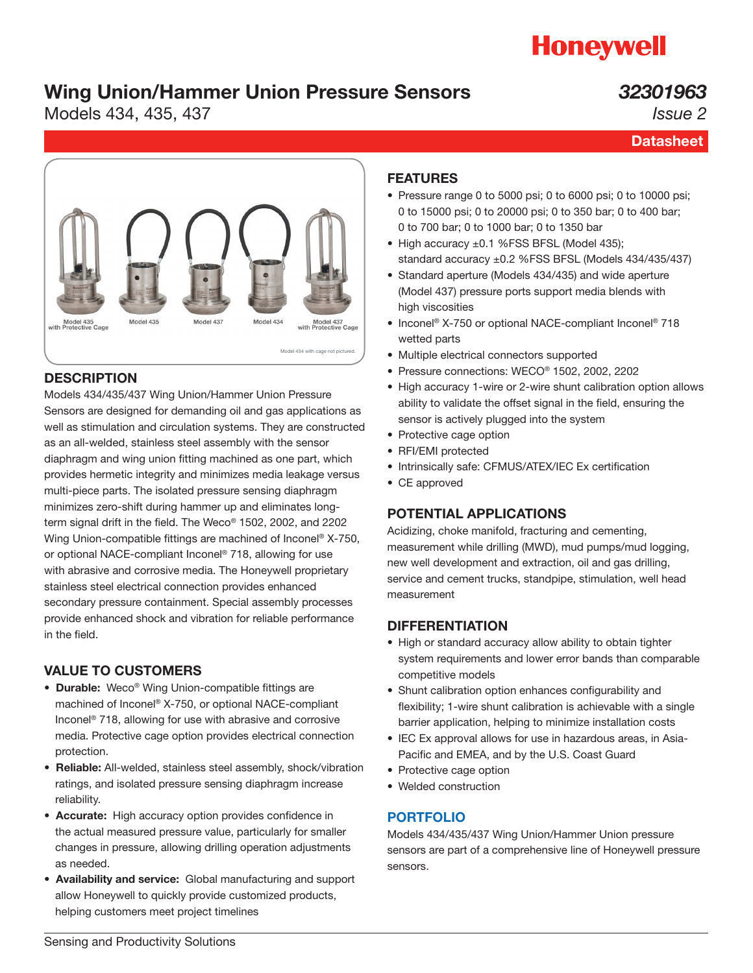# **Honeywell**

## Wing Union/Hammer Union Pressure Sensors

Models 434, 435, 437

## *32301963*

*Issue 2*

**Datasheet** 



### **DESCRIPTION**

Models 434/435/437 Wing Union/Hammer Union Pressure Sensors are designed for demanding oil and gas applications as well as stimulation and circulation systems. They are constructed as an all-welded, stainless steel assembly with the sensor diaphragm and wing union fitting machined as one part, which provides hermetic integrity and minimizes media leakage versus multi-piece parts. The isolated pressure sensing diaphragm minimizes zero-shift during hammer up and eliminates longterm signal drift in the field. The Weco® 1502, 2002, and 2202 Wing Union-compatible fittings are machined of Inconel® X-750, or optional NACE-compliant Inconel® 718, allowing for use with abrasive and corrosive media. The Honeywell proprietary stainless steel electrical connection provides enhanced secondary pressure containment. Special assembly processes provide enhanced shock and vibration for reliable performance in the field.

### VALUE TO CUSTOMERS

- Durable: Weco® Wing Union-compatible fittings are machined of Inconel® X-750, or optional NACE-compliant Inconel® 718, allowing for use with abrasive and corrosive media. Protective cage option provides electrical connection protection.
- Reliable: All-welded, stainless steel assembly, shock/vibration ratings, and isolated pressure sensing diaphragm increase reliability.
- Accurate: High accuracy option provides confidence in the actual measured pressure value, particularly for smaller changes in pressure, allowing drilling operation adjustments as needed.
- Availability and service: Global manufacturing and support allow Honeywell to quickly provide customized products, helping customers meet project timelines

### FEATURES

- Pressure range 0 to 5000 psi; 0 to 6000 psi; 0 to 10000 psi; 0 to 15000 psi; 0 to 20000 psi; 0 to 350 bar; 0 to 400 bar; 0 to 700 bar; 0 to 1000 bar; 0 to 1350 bar
- High accuracy ±0.1 %FSS BFSL (Model 435); standard accuracy ±0.2 %FSS BFSL (Models 434/435/437)
- Standard aperture (Models 434/435) and wide aperture (Model 437) pressure ports support media blends with high viscosities
- Inconel<sup>®</sup> X-750 or optional NACE-compliant Inconel<sup>®</sup> 718 wetted parts
- Multiple electrical connectors supported
- Pressure connections: WECO® 1502, 2002, 2202
- High accuracy 1-wire or 2-wire shunt calibration option allows ability to validate the offset signal in the field, ensuring the sensor is actively plugged into the system
- Protective cage option
- RFI/EMI protected
- Intrinsically safe: CFMUS/ATEX/IEC Ex certification
- CE approved

### POTENTIAL APPLICATIONS

Acidizing, choke manifold, fracturing and cementing, measurement while drilling (MWD), mud pumps/mud logging, new well development and extraction, oil and gas drilling, service and cement trucks, standpipe, stimulation, well head measurement

### DIFFERENTIATION

- High or standard accuracy allow ability to obtain tighter system requirements and lower error bands than comparable competitive models
- Shunt calibration option enhances configurability and flexibility; 1-wire shunt calibration is achievable with a single barrier application, helping to minimize installation costs
- IEC Ex approval allows for use in hazardous areas, in Asia-Pacific and EMEA, and by the U.S. Coast Guard
- Protective cage option
- Welded construction

### [PORTFOLIO](https://measurementsensors.honeywell.com/Pages/Category.aspx?cat=Honeywell&category=PRODUCTTYPES-PRESSURE-OILGAS)

Models 434/435/437 Wing Union/Hammer Union pressure sensors are part of a comprehensive line of Honeywell pressure sensors.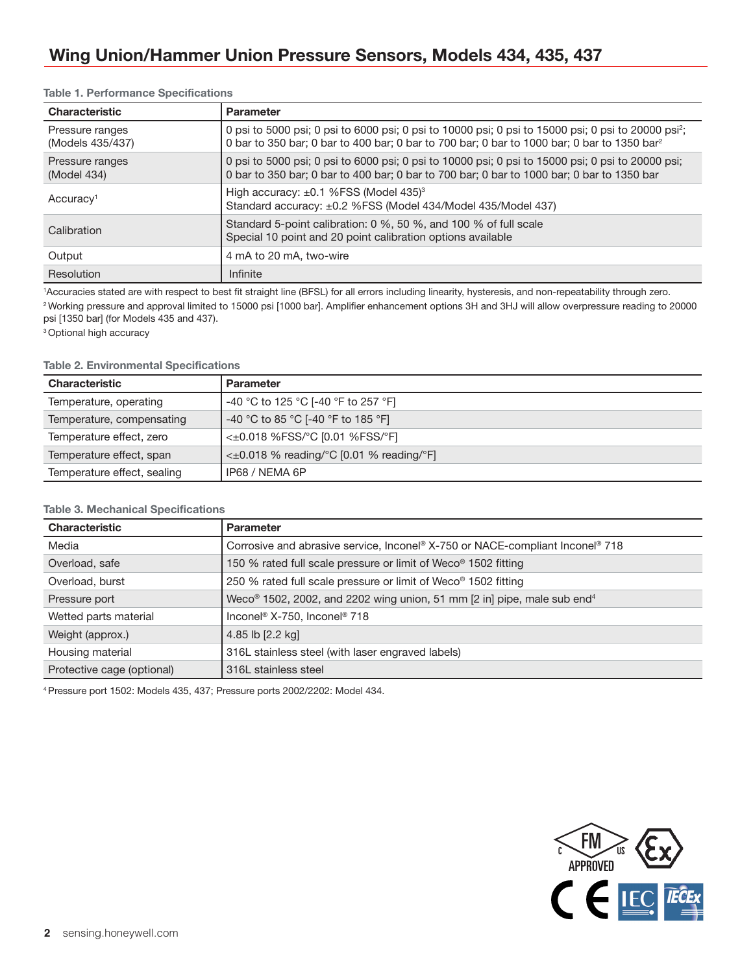| <b>Characteristic</b>                                                                                                                          | <b>Parameter</b>                                                                                                                                                                                                           |
|------------------------------------------------------------------------------------------------------------------------------------------------|----------------------------------------------------------------------------------------------------------------------------------------------------------------------------------------------------------------------------|
| Pressure ranges<br>(Models 435/437)                                                                                                            | 0 psi to 5000 psi; 0 psi to 6000 psi; 0 psi to 10000 psi; 0 psi to 15000 psi; 0 psi to 20000 psi <sup>2</sup> ;<br>0 bar to 350 bar; 0 bar to 400 bar; 0 bar to 700 bar; 0 bar to 1000 bar; 0 bar to 1350 bar <sup>2</sup> |
| Pressure ranges<br>(Model 434)                                                                                                                 | 0 psi to 5000 psi; 0 psi to 6000 psi; 0 psi to 10000 psi; 0 psi to 15000 psi; 0 psi to 20000 psi;<br>0 bar to 350 bar; 0 bar to 400 bar; 0 bar to 700 bar; 0 bar to 1000 bar; 0 bar to 1350 bar                            |
| Accuracy <sup>1</sup>                                                                                                                          | High accuracy: $\pm 0.1$ %FSS (Model 435) <sup>3</sup><br>Standard accuracy: ±0.2 %FSS (Model 434/Model 435/Model 437)                                                                                                     |
| Standard 5-point calibration: 0 %, 50 %, and 100 % of full scale<br>Calibration<br>Special 10 point and 20 point calibration options available |                                                                                                                                                                                                                            |
| Output                                                                                                                                         | 4 mA to 20 mA, two-wire                                                                                                                                                                                                    |
| Resolution                                                                                                                                     | Infinite                                                                                                                                                                                                                   |

#### Table 1. Performance Specifications

1 Accuracies stated are with respect to best fit straight line (BFSL) for all errors including linearity, hysteresis, and non-repeatability through zero. <sup>2</sup> Working pressure and approval limited to 15000 psi [1000 bar]. Amplifier enhancement options 3H and 3HJ will allow overpressure reading to 20000 psi [1350 bar] (for Models 435 and 437).

<sup>3</sup> Optional high accuracy

#### Table 2. Environmental Specifications

| <b>Characteristic</b>       | <b>Parameter</b>                               |  |  |  |
|-----------------------------|------------------------------------------------|--|--|--|
| Temperature, operating      | -40 °C to 125 °C [-40 °F to 257 °F]            |  |  |  |
| Temperature, compensating   | -40 °C to 85 °C [-40 °F to 185 °F]             |  |  |  |
| Temperature effect, zero    | <±0.018 %FSS/°C [0.01 %FSS/°F]                 |  |  |  |
| Temperature effect, span    | $\leq$ ±0.018 % reading/°C [0.01 % reading/°F] |  |  |  |
| Temperature effect, sealing | IP68 / NEMA 6P                                 |  |  |  |

#### Table 3. Mechanical Specifications

| <b>Characteristic</b>                                                         | <b>Parameter</b>                                                                                      |
|-------------------------------------------------------------------------------|-------------------------------------------------------------------------------------------------------|
| Media                                                                         | Corrosive and abrasive service, Inconel <sup>®</sup> X-750 or NACE-compliant Inconel <sup>®</sup> 718 |
| Overload, safe                                                                | 150 % rated full scale pressure or limit of Weco® 1502 fitting                                        |
| Overload, burst                                                               | 250 % rated full scale pressure or limit of Weco® 1502 fitting                                        |
| Pressure port                                                                 | Weco <sup>®</sup> 1502, 2002, and 2202 wing union, 51 mm [2 in] pipe, male sub end <sup>4</sup>       |
| Inconel <sup>®</sup> X-750, Inconel <sup>®</sup> 718<br>Wetted parts material |                                                                                                       |
| Weight (approx.)                                                              | 4.85 lb [2.2 kg]                                                                                      |
| Housing material                                                              | 316L stainless steel (with laser engraved labels)                                                     |
| Protective cage (optional)                                                    | 316L stainless steel                                                                                  |

4 Pressure port 1502: Models 435, 437; Pressure ports 2002/2202: Model 434.

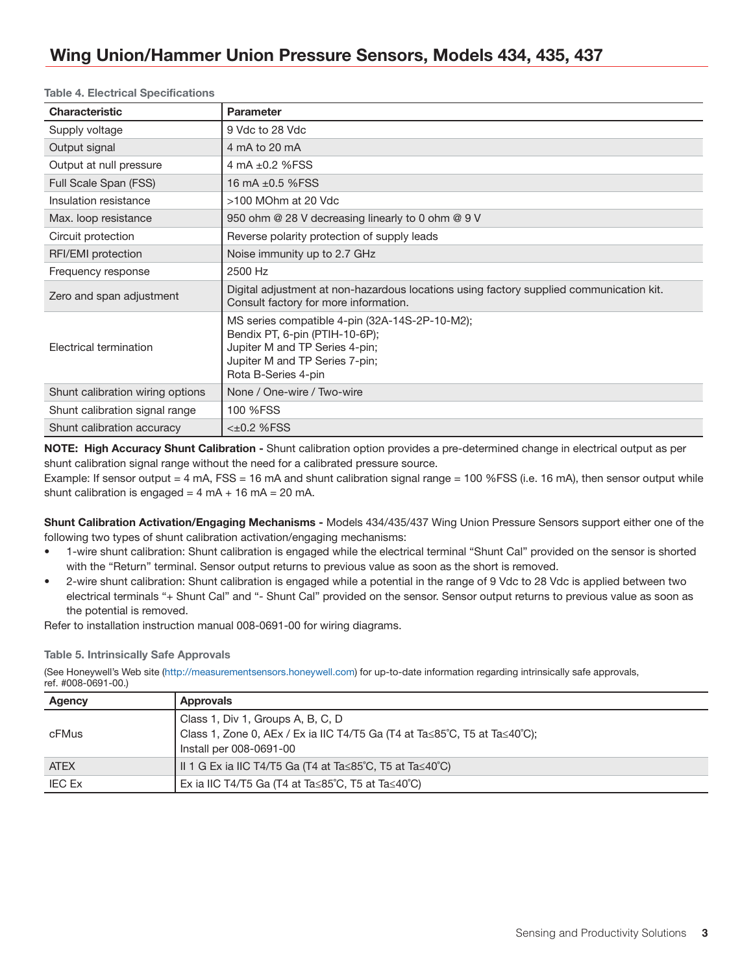| <b>Characteristic</b>            | <b>Parameter</b>                                                                                                                                                            |  |  |  |
|----------------------------------|-----------------------------------------------------------------------------------------------------------------------------------------------------------------------------|--|--|--|
|                                  |                                                                                                                                                                             |  |  |  |
| Supply voltage                   | 9 Vdc to 28 Vdc                                                                                                                                                             |  |  |  |
| Output signal                    | 4 mA to 20 mA                                                                                                                                                               |  |  |  |
| Output at null pressure          | 4 mA ±0.2 %FSS                                                                                                                                                              |  |  |  |
| Full Scale Span (FSS)            | 16 mA $\pm$ 0.5 %FSS                                                                                                                                                        |  |  |  |
| Insulation resistance            | >100 MOhm at 20 Vdc                                                                                                                                                         |  |  |  |
| Max. loop resistance             | 950 ohm @ 28 V decreasing linearly to 0 ohm @ 9 V                                                                                                                           |  |  |  |
| Circuit protection               | Reverse polarity protection of supply leads                                                                                                                                 |  |  |  |
| RFI/EMI protection               | Noise immunity up to 2.7 GHz                                                                                                                                                |  |  |  |
| Frequency response               | 2500 Hz                                                                                                                                                                     |  |  |  |
| Zero and span adjustment         | Digital adjustment at non-hazardous locations using factory supplied communication kit.<br>Consult factory for more information.                                            |  |  |  |
| Electrical termination           | MS series compatible 4-pin (32A-14S-2P-10-M2);<br>Bendix PT, 6-pin (PTIH-10-6P);<br>Jupiter M and TP Series 4-pin;<br>Jupiter M and TP Series 7-pin;<br>Rota B-Series 4-pin |  |  |  |
| Shunt calibration wiring options | None / One-wire / Two-wire                                                                                                                                                  |  |  |  |
| Shunt calibration signal range   | 100 %FSS                                                                                                                                                                    |  |  |  |
| Shunt calibration accuracy       | $<\pm 0.2$ %FSS                                                                                                                                                             |  |  |  |

#### Table 4. Electrical Specifications

NOTE: High Accuracy Shunt Calibration - Shunt calibration option provides a pre-determined change in electrical output as per shunt calibration signal range without the need for a calibrated pressure source. Example: If sensor output = 4 mA, FSS = 16 mA and shunt calibration signal range = 100 %FSS (i.e. 16 mA), then sensor output while

shunt calibration is engaged =  $4 \text{ mA} + 16 \text{ mA} = 20 \text{ mA}$ .

Shunt Calibration Activation/Engaging Mechanisms - Models 434/435/437 Wing Union Pressure Sensors support either one of the following two types of shunt calibration activation/engaging mechanisms:

- 1-wire shunt calibration: Shunt calibration is engaged while the electrical terminal "Shunt Cal" provided on the sensor is shorted with the "Return" terminal. Sensor output returns to previous value as soon as the short is removed.
- 2-wire shunt calibration: Shunt calibration is engaged while a potential in the range of 9 Vdc to 28 Vdc is applied between two electrical terminals "+ Shunt Cal" and "- Shunt Cal" provided on the sensor. Sensor output returns to previous value as soon as the potential is removed.

Refer to installation instruction manual 008-0691-00 for wiring diagrams.

#### Table 5. Intrinsically Safe Approvals

(See Honeywell's Web site (http://measurementsensors.honeywell.com) for up-to-date information regarding intrinsically safe approvals, ref. #008-0691-00.)

| <b>Agency</b> | <b>Approvals</b>                                                                                                                          |
|---------------|-------------------------------------------------------------------------------------------------------------------------------------------|
| cFMus         | Class 1, Div 1, Groups A, B, C, D<br>Class 1, Zone 0, AEx / Ex ia IIC T4/T5 Ga (T4 at Ta≤85°C, T5 at Ta≤40°C);<br>Install per 008-0691-00 |
| <b>ATEX</b>   | II 1 G Ex ia IIC T4/T5 Ga (T4 at Ta≤85°C, T5 at Ta≤40°C)                                                                                  |
| <b>IEC Ex</b> | Ex ia IIC T4/T5 Ga (T4 at Ta $\leq$ 85°C, T5 at Ta $\leq$ 40°C)                                                                           |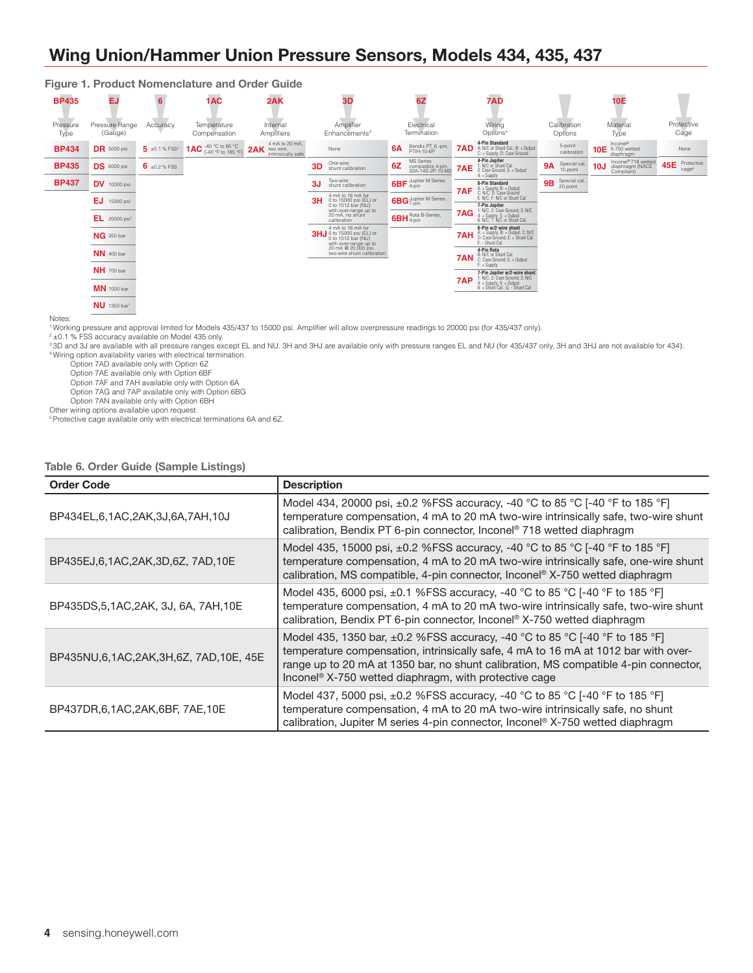#### Figure 1. Product Nomenclature and Order Guide

| <b>BP435</b>     | EJ                                             | 6                           | 1AC                                        | 2AK                                                   |    | 3D                                                                                                    |    | 6Z                                                        |      | 7AD                                                                                                            |           |                          |     | 10E                                                              |                            |
|------------------|------------------------------------------------|-----------------------------|--------------------------------------------|-------------------------------------------------------|----|-------------------------------------------------------------------------------------------------------|----|-----------------------------------------------------------|------|----------------------------------------------------------------------------------------------------------------|-----------|--------------------------|-----|------------------------------------------------------------------|----------------------------|
| Pressure<br>Type | Pressure Range<br>(Gauge)                      | Accuracy                    | Temperature<br>Compensation                | Internal<br>Amplifiers                                |    | Amplifier<br>Enhancements <sup>3</sup>                                                                |    | Electrical<br>Termination                                 |      | Wiring<br>Options <sup>4</sup>                                                                                 |           | Calibration<br>Options   |     | Material<br>Type                                                 | Protective<br>Cage         |
| <b>BP434</b>     | $\mathbf{DR}$ 5000 psi                         | $5$ ±0.1 % FSS <sup>2</sup> | 1 AC -40 °C to 85 °C<br>[-40 °F to 185 °F] | 4 mA to 20 mA,<br>2AK two wire,<br>intrinsically safe |    | None                                                                                                  | 6A | Bendix PT, 6 -pin,<br>PTIH-10-6P                          | 7AD. | 4-Pin Standard<br>A: N/C or Shunt Cal.: B: + Output<br>C: + Supply: D: Case Ground                             |           | 5-point<br>calibration   |     | Inconel®<br>$10E$ X-750 wetted<br>diaphragm                      | None                       |
| <b>BP435</b>     | DS 6000 psi                                    | $6$ ±0.2 % FSS              |                                            |                                                       | 3D | One-wire<br>shunt calibration                                                                         | 6Z | <b>MS</b> Series<br>compatible 4-pin,<br>32A-14S-2P-10-M2 | 7AE  | 4-Pin Jupiter<br>1: N/C or Shunt Cal.<br>2: Case Ground: 3: + Output                                           | <b>9A</b> | Special cal.<br>10 point | 10J | Inconel <sup>®</sup> 718 wetted<br>diaphragm (NACE<br>Compliant) | Protective<br>45E<br>cages |
| <b>BP437</b>     | $DV$ 10000 psi                                 |                             |                                            |                                                       | 3J | Two-wire<br>shunt calibration                                                                         |    | <b>6BF</b> Jupiter M Series                               | 7AF  | $4: +$ Supply<br><b>6-Pin Standard</b><br>A: + Supply; B: + Output<br>C: N/C; D: Case Ground                   | <b>9B</b> | Special cal.<br>20 point |     |                                                                  |                            |
|                  | EJ<br>15000 psi                                |                             |                                            |                                                       | 3H | 4 mA to 16 mA for<br>0 to 15000 psi (EL) or<br>0 to 1012 bar (NU)                                     |    | 6BG Jupiter M Series,                                     |      | E: N/C: F: N/C or Shunt Cal.<br>7-Pin Jupiter                                                                  |           |                          |     |                                                                  |                            |
|                  | <b>EL</b> 20000 psi                            |                             |                                            |                                                       |    | with over-range up to<br>20 mA, no shunt<br>calibration                                               |    | <b>6BH</b> Rota B-Series,                                 | 7AG  | 1: N/C: 2: Case Ground: 3: N/C<br>$4: +$ Supply; $5: +$ Output<br>6: N/C: 7: N/C or Shunt Cal.                 |           |                          |     |                                                                  |                            |
|                  | <b>NG</b> 350 bar                              |                             |                                            |                                                       |    | 4 mA to 16 mA for<br><b>3HJ</b> 0 to 15000 psi (EL) or<br>0 to 1012 bar (NU)<br>with over-range up to |    |                                                           | 7AH  | 6-Pin w/2-wire shunt<br>A: + Supply; B: + Output; C: N/C<br>D: Case Ground; E: + Shunt Cal.<br>F: - Shunt Cal. |           |                          |     |                                                                  |                            |
|                  | <b>NN</b> 400 bar                              |                             |                                            |                                                       |    | 20 mA @ 20,000 psi<br>two-wire shunt calibration                                                      |    |                                                           |      | 4-Pin Rota<br>B: N/C or Shunt Cal.<br><b>7AN</b> C: Case Ground; E: + Output<br>$F: +$ Supply                  |           |                          |     |                                                                  |                            |
|                  | NH 700 bar                                     |                             |                                            |                                                       |    |                                                                                                       |    |                                                           | 7AP  | 7-Pin Jupiter w/2-wire shunt<br>1: N/C; 2: Case Ground; 3: N/C<br>$4: +$ Supply; $5: +$ Output                 |           |                          |     |                                                                  |                            |
|                  | MN 1000 bar<br><b>NU</b> 1350 bar <sup>1</sup> |                             |                                            |                                                       |    |                                                                                                       |    |                                                           |      | 6: + Shunt Cal.: G: - Shunt Cal                                                                                |           |                          |     |                                                                  |                            |

Notes:

1 Working pressure and approval limited for Models 435/437 to 15000 psi. Amplifier will allow overpressure readings to 20000 psi (for 435/437 only).

 $2 + 0.1$  % FSS accuracy available on Model 435 only. <sup>3</sup> 3D and 3J are available with all pressure ranges except EL and NU. 3H and 3HJ are available only with pressure ranges EL and NU (for 435/437 only, 3H and 3HJ are not available for 434).

4 Wiring option availability varies with electrical termination. Option 7AD available only with Option 6Z

Option 7AE available only with Option 6BF

Option 7AF and 7AH available only with Option 6A

Option 7AG and 7AP available only with Option 6BG

Option 7AN available only with Option 6BH

Other wiring options available upon request.<br><sup>5</sup> Protective cage available only with electrical terminations 6A and 6Z.

#### Table 6. Order Guide (Sample Listings)

| <b>Order Code</b>                      | <b>Description</b>                                                                                                                                                                                                                                                                                                            |
|----------------------------------------|-------------------------------------------------------------------------------------------------------------------------------------------------------------------------------------------------------------------------------------------------------------------------------------------------------------------------------|
| BP434EL, 6, 1AC, 2AK, 3J, 6A, 7AH, 10J | Model 434, 20000 psi, ±0.2 %FSS accuracy, -40 °C to 85 °C [-40 °F to 185 °F]<br>temperature compensation, 4 mA to 20 mA two-wire intrinsically safe, two-wire shunt<br>calibration, Bendix PT 6-pin connector, Inconel <sup>®</sup> 718 wetted diaphragm                                                                      |
| BP435EJ,6,1AC,2AK,3D,6Z, 7AD,10E       | Model 435, 15000 psi, ±0.2 %FSS accuracy, -40 °C to 85 °C [-40 °F to 185 °F]<br>temperature compensation, 4 mA to 20 mA two-wire intrinsically safe, one-wire shunt<br>calibration, MS compatible, 4-pin connector, Inconel® X-750 wetted diaphragm                                                                           |
| BP435DS, 5, 1AC, 2AK, 3J, 6A, 7AH, 10E | Model 435, 6000 psi, ±0.1 %FSS accuracy, -40 °C to 85 °C [-40 °F to 185 °F]<br>temperature compensation, 4 mA to 20 mA two-wire intrinsically safe, two-wire shunt<br>calibration, Bendix PT 6-pin connector, Inconel® X-750 wetted diaphragm                                                                                 |
| BP435NU,6,1AC,2AK,3H,6Z, 7AD,10E, 45E  | Model 435, 1350 bar, ±0.2 %FSS accuracy, -40 °C to 85 °C [-40 °F to 185 °F]<br>temperature compensation, intrinsically safe, 4 mA to 16 mA at 1012 bar with over-<br>range up to 20 mA at 1350 bar, no shunt calibration, MS compatible 4-pin connector,<br>Inconel <sup>®</sup> X-750 wetted diaphragm, with protective cage |
| BP437DR, 6, 1AC, 2AK, 6BF, 7AE, 10E    | Model 437, 5000 psi, ±0.2 %FSS accuracy, -40 °C to 85 °C [-40 °F to 185 °F]<br>temperature compensation, 4 mA to 20 mA two-wire intrinsically safe, no shunt<br>calibration, Jupiter M series 4-pin connector, Inconel® X-750 wetted diaphragm                                                                                |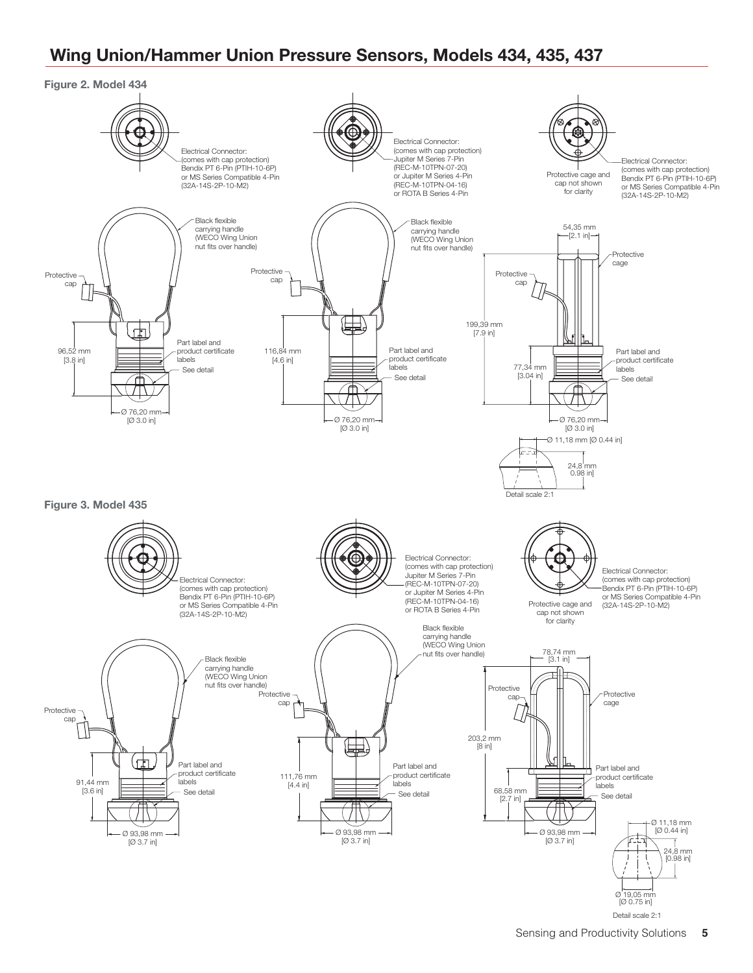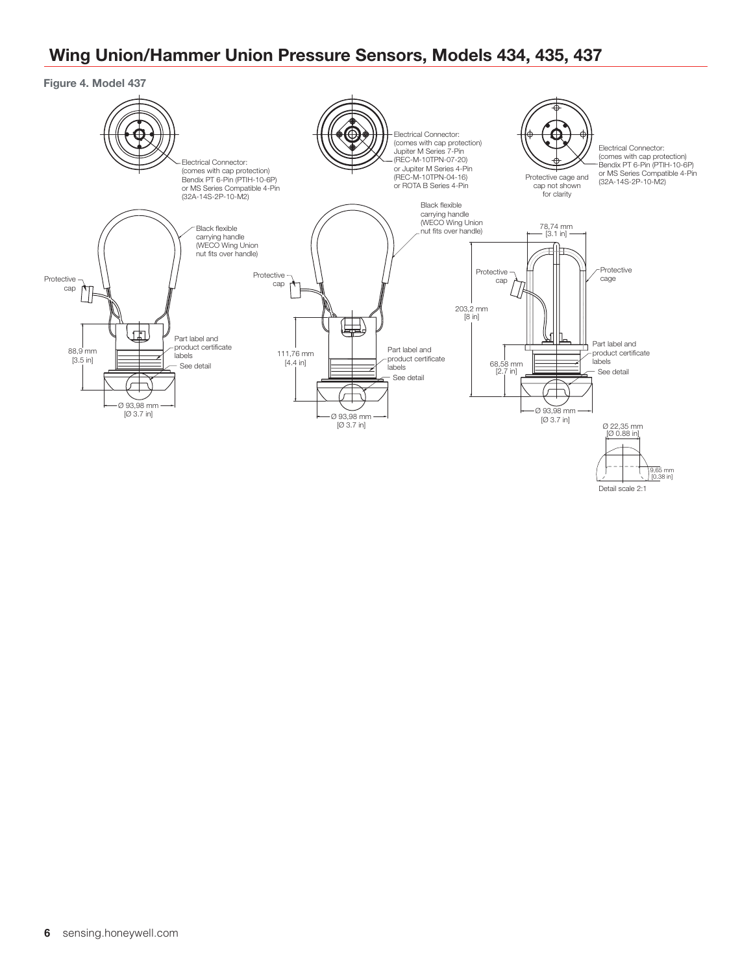

Detail scale 2:1